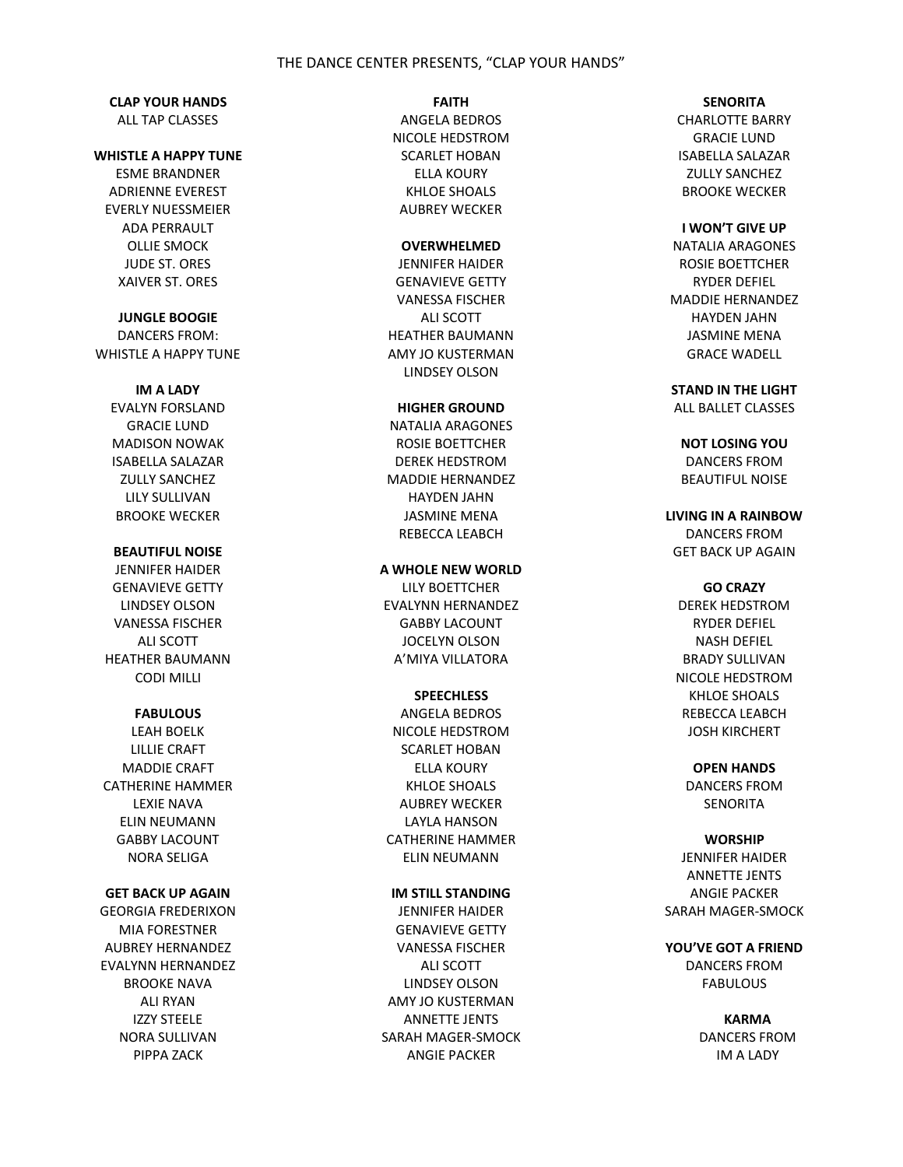## THE DANCE CENTER PRESENTS, "CLAP YOUR HANDS"

#### **CLAP YOUR HANDS** ALL TAP CLASSES

# **WHISTLE A HAPPY TUNE**

ESME BRANDNER ADRIENNE EVEREST EVERLY NUESSMEIER ADA PERRAULT OLLIE SMOCK JUDE ST. ORES XAIVER ST. ORES

#### **JUNGLE BOOGIE**

DANCERS FROM: WHISTLE A HAPPY TUNE

## **IM A LADY**

EVALYN FORSLAND GRACIE LUND MADISON NOWAK ISABELLA SALAZAR ZULLY SANCHEZ LILY SULLIVAN BROOKE WECKER

#### **BEAUTIFUL NOISE**

JENNIFER HAIDER GENAVIEVE GETTY LINDSEY OLSON VANESSA FISCHER ALI SCOTT HEATHER BAUMANN CODI MILLI

# **FABULOUS**

LEAH BOELK LILLIE CRAFT MADDIE CRAFT CATHERINE HAMMER LEXIE NAVA ELIN NEUMANN GABBY LACOUNT NORA SELIGA

#### **GET BACK UP AGAIN**

GEORGIA FREDERIXON MIA FORESTNER AUBREY HERNANDEZ EVALYNN HERNANDEZ BROOKE NAVA ALI RYAN IZZY STEELE NORA SULLIVAN PIPPA ZACK

#### **FAITH**

ANGELA BEDROS NICOLE HEDSTROM SCARLET HOBAN ELLA KOURY KHLOE SHOALS AUBREY WECKER

#### **OVERWHELMED**

JENNIFER HAIDER GENAVIEVE GETTY VANESSA FISCHER ALI SCOTT HEATHER BAUMANN AMY JO KUSTERMAN LINDSEY OLSON

#### **HIGHER GROUND**

NATALIA ARAGONES ROSIE BOETTCHER DEREK HEDSTROM MADDIE HERNANDEZ HAYDEN JAHN JASMINE MENA REBECCA LEABCH

#### **A WHOLE NEW WORLD**

LILY BOETTCHER EVALYNN HERNANDEZ GABBY LACOUNT JOCELYN OLSON A'MIYA VILLATORA

#### **SPEECHLESS**

ANGELA BEDROS NICOLE HEDSTROM SCARLET HOBAN ELLA KOURY KHLOE SHOALS AUBREY WECKER LAYLA HANSON CATHERINE HAMMER ELIN NEUMANN

# **IM STILL STANDING**

JENNIFER HAIDER GENAVIEVE GETTY VANESSA FISCHER ALI SCOTT LINDSEY OLSON AMY JO KUSTERMAN ANNETTE JENTS SARAH MAGER-SMOCK ANGIE PACKER

#### **SENORITA**

CHARLOTTE BARRY GRACIE LUND ISABELLA SALAZAR ZULLY SANCHEZ BROOKE WECKER

## **I WON'T GIVE UP**

NATALIA ARAGONES ROSIE BOETTCHER RYDER DEFIEL MADDIE HERNANDEZ HAYDEN JAHN JASMINE MENA GRACE WADELL

## **STAND IN THE LIGHT** ALL BALLET CLASSES

#### **NOT LOSING YOU**

DANCERS FROM BEAUTIFUL NOISE

**LIVING IN A RAINBOW** DANCERS FROM GET BACK UP AGAIN

### **GO CRAZY**

DEREK HEDSTROM RYDER DEFIEL NASH DEFIEL BRADY SULLIVAN NICOLE HEDSTROM KHLOE SHOALS REBECCA LEABCH JOSH KIRCHERT

#### **OPEN HANDS**

DANCERS FROM SENORITA

#### **WORSHIP**

JENNIFER HAIDER ANNETTE JENTS ANGIE PACKER SARAH MAGER-SMOCK

**YOU'VE GOT A FRIEND** DANCERS FROM FABULOUS

> **KARMA** DANCERS FROM IM A LADY